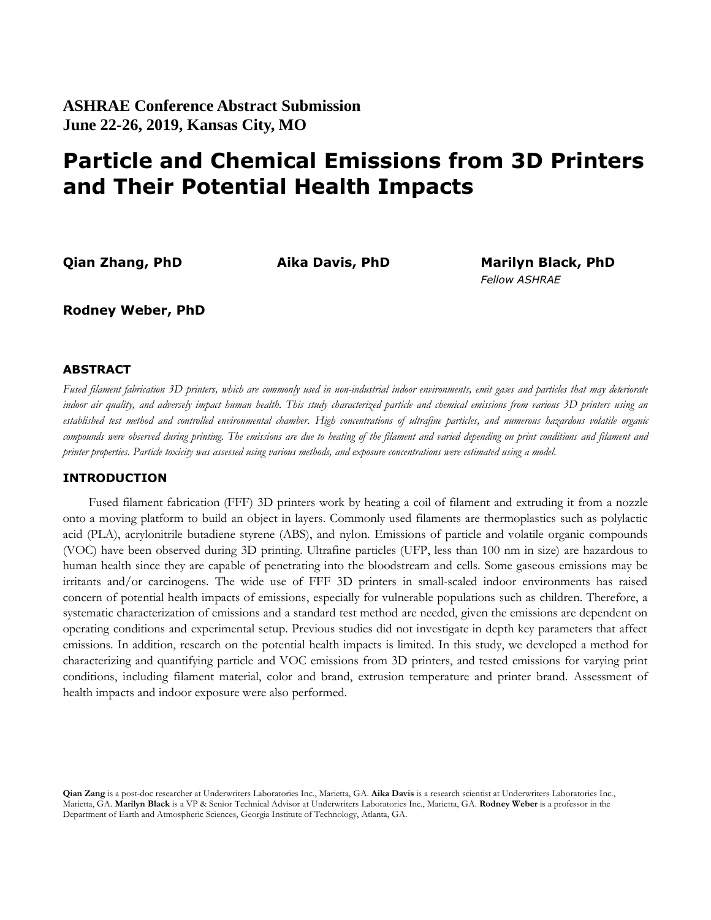# **Particle and Chemical Emissions from 3D Printers and Their Potential Health Impacts**

**Qian Zhang, PhD Aika Davis, PhD Marilyn Black, PhD** *Fellow ASHRAE*

**Rodney Weber, PhD**

## **ABSTRACT**

*Fused filament fabrication 3D printers, which are commonly used in non-industrial indoor environments, emit gases and particles that may deteriorate indoor air quality, and adversely impact human health. This study characterized particle and chemical emissions from various 3D printers using an established test method and controlled environmental chamber. High concentrations of ultrafine particles, and numerous hazardous volatile organic compounds were observed during printing. The emissions are due to heating of the filament and varied depending on print conditions and filament and printer properties. Particle toxicity was assessed using various methods, and exposure concentrations were estimated using a model.*

## **INTRODUCTION**

Fused filament fabrication (FFF) 3D printers work by heating a coil of filament and extruding it from a nozzle onto a moving platform to build an object in layers. Commonly used filaments are thermoplastics such as polylactic acid (PLA), acrylonitrile butadiene styrene (ABS), and nylon. Emissions of particle and volatile organic compounds (VOC) have been observed during 3D printing. Ultrafine particles (UFP, less than 100 nm in size) are hazardous to human health since they are capable of penetrating into the bloodstream and cells. Some gaseous emissions may be irritants and/or carcinogens. The wide use of FFF 3D printers in small-scaled indoor environments has raised concern of potential health impacts of emissions, especially for vulnerable populations such as children. Therefore, a systematic characterization of emissions and a standard test method are needed, given the emissions are dependent on operating conditions and experimental setup. Previous studies did not investigate in depth key parameters that affect emissions. In addition, research on the potential health impacts is limited. In this study, we developed a method for characterizing and quantifying particle and VOC emissions from 3D printers, and tested emissions for varying print conditions, including filament material, color and brand, extrusion temperature and printer brand. Assessment of health impacts and indoor exposure were also performed.

**Qian Zang** is a post-doc researcher at Underwriters Laboratories Inc., Marietta, GA. **Aika Davis** is a research scientist at Underwriters Laboratories Inc., Marietta, GA. **Marilyn Black** is a VP & Senior Technical Advisor at Underwriters Laboratories Inc., Marietta, GA. **Rodney Weber** is a professor in the Department of Earth and Atmospheric Sciences, Georgia Institute of Technology, Atlanta, GA.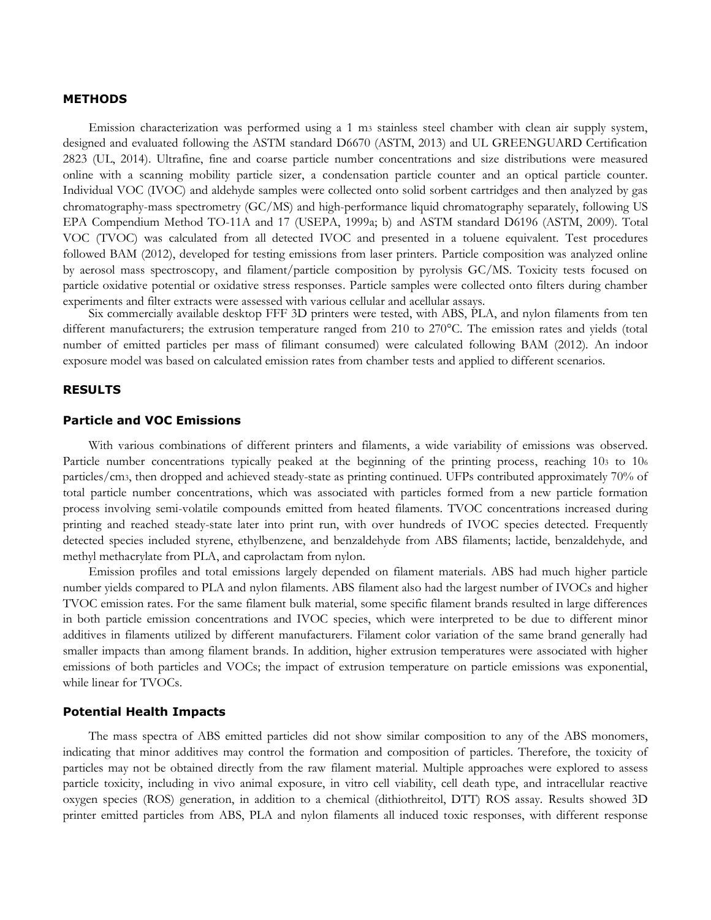#### **METHODS**

Emission characterization was performed using a 1 m<sup>3</sup> stainless steel chamber with clean air supply system, designed and evaluated following the ASTM standard D6670 (ASTM, 2013) and UL GREENGUARD Certification 2823 (UL, 2014). Ultrafine, fine and coarse particle number concentrations and size distributions were measured online with a scanning mobility particle sizer, a condensation particle counter and an optical particle counter. Individual VOC (IVOC) and aldehyde samples were collected onto solid sorbent cartridges and then analyzed by gas chromatography-mass spectrometry (GC/MS) and high-performance liquid chromatography separately, following US EPA Compendium Method TO-11A and 17 (USEPA, 1999a; b) and ASTM standard D6196 (ASTM, 2009). Total VOC (TVOC) was calculated from all detected IVOC and presented in a toluene equivalent. Test procedures followed BAM (2012), developed for testing emissions from laser printers. Particle composition was analyzed online by aerosol mass spectroscopy, and filament/particle composition by pyrolysis GC/MS. Toxicity tests focused on particle oxidative potential or oxidative stress responses. Particle samples were collected onto filters during chamber experiments and filter extracts were assessed with various cellular and acellular assays.

Six commercially available desktop FFF 3D printers were tested, with ABS, PLA, and nylon filaments from ten different manufacturers; the extrusion temperature ranged from 210 to 270°C. The emission rates and yields (total number of emitted particles per mass of filimant consumed) were calculated following BAM (2012). An indoor exposure model was based on calculated emission rates from chamber tests and applied to different scenarios.

### **RESULTS**

#### **Particle and VOC Emissions**

With various combinations of different printers and filaments, a wide variability of emissions was observed. Particle number concentrations typically peaked at the beginning of the printing process, reaching 10<sup>3</sup> to 10<sup>6</sup> particles/cm3, then dropped and achieved steady-state as printing continued. UFPs contributed approximately 70% of total particle number concentrations, which was associated with particles formed from a new particle formation process involving semi-volatile compounds emitted from heated filaments. TVOC concentrations increased during printing and reached steady-state later into print run, with over hundreds of IVOC species detected. Frequently detected species included styrene, ethylbenzene, and benzaldehyde from ABS filaments; lactide, benzaldehyde, and methyl methacrylate from PLA, and caprolactam from nylon.

Emission profiles and total emissions largely depended on filament materials. ABS had much higher particle number yields compared to PLA and nylon filaments. ABS filament also had the largest number of IVOCs and higher TVOC emission rates. For the same filament bulk material, some specific filament brands resulted in large differences in both particle emission concentrations and IVOC species, which were interpreted to be due to different minor additives in filaments utilized by different manufacturers. Filament color variation of the same brand generally had smaller impacts than among filament brands. In addition, higher extrusion temperatures were associated with higher emissions of both particles and VOCs; the impact of extrusion temperature on particle emissions was exponential, while linear for TVOCs.

#### **Potential Health Impacts**

The mass spectra of ABS emitted particles did not show similar composition to any of the ABS monomers, indicating that minor additives may control the formation and composition of particles. Therefore, the toxicity of particles may not be obtained directly from the raw filament material. Multiple approaches were explored to assess particle toxicity, including in vivo animal exposure, in vitro cell viability, cell death type, and intracellular reactive oxygen species (ROS) generation, in addition to a chemical (dithiothreitol, DTT) ROS assay. Results showed 3D printer emitted particles from ABS, PLA and nylon filaments all induced toxic responses, with different response